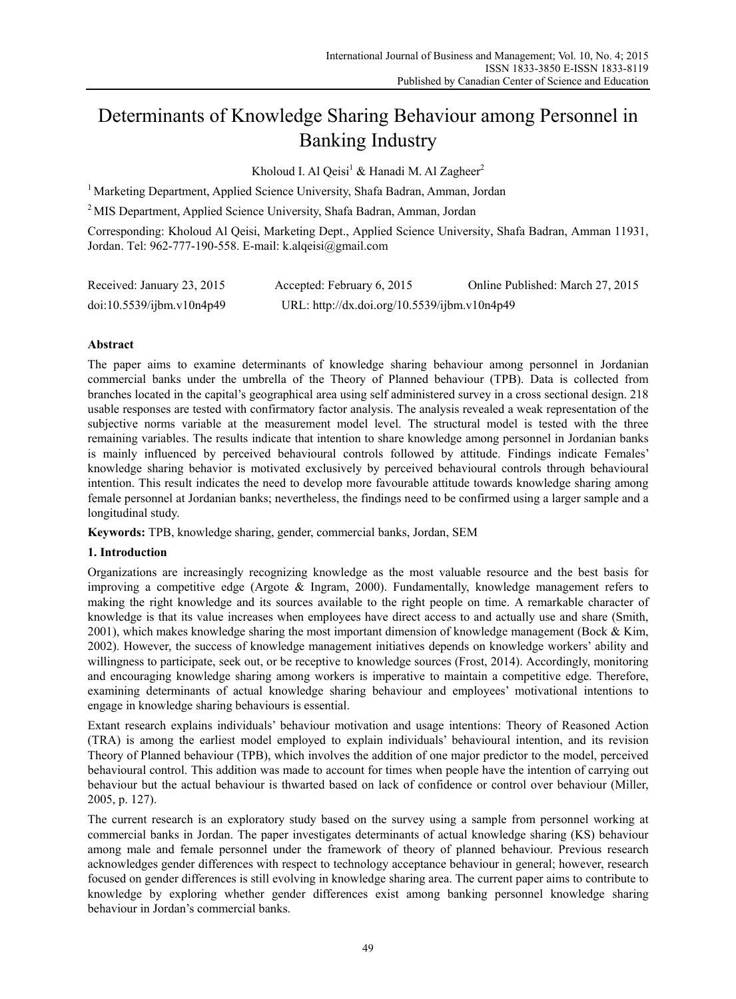# Determinants of Knowledge Sharing Behaviour among Personnel in Banking Industry

Kholoud I. Al Qeisi<sup>1</sup> & Hanadi M. Al Zagheer<sup>2</sup>

<sup>1</sup> Marketing Department, Applied Science University, Shafa Badran, Amman, Jordan

2 MIS Department, Applied Science University, Shafa Badran, Amman, Jordan

Corresponding: Kholoud Al Qeisi, Marketing Dept., Applied Science University, Shafa Badran, Amman 11931, Jordan. Tel: 962-777-190-558. E-mail: k.alqeisi@gmail.com

| Received: January 23, 2015 | Accepted: February 6, 2015                   | Online Published: March 27, 2015 |
|----------------------------|----------------------------------------------|----------------------------------|
| doi:10.5539/ijbm.v10n4p49  | URL: http://dx.doi.org/10.5539/ijbm.v10n4p49 |                                  |

# **Abstract**

The paper aims to examine determinants of knowledge sharing behaviour among personnel in Jordanian commercial banks under the umbrella of the Theory of Planned behaviour (TPB). Data is collected from branches located in the capital's geographical area using self administered survey in a cross sectional design. 218 usable responses are tested with confirmatory factor analysis. The analysis revealed a weak representation of the subjective norms variable at the measurement model level. The structural model is tested with the three remaining variables. The results indicate that intention to share knowledge among personnel in Jordanian banks is mainly influenced by perceived behavioural controls followed by attitude. Findings indicate Females' knowledge sharing behavior is motivated exclusively by perceived behavioural controls through behavioural intention. This result indicates the need to develop more favourable attitude towards knowledge sharing among female personnel at Jordanian banks; nevertheless, the findings need to be confirmed using a larger sample and a longitudinal study.

**Keywords:** TPB, knowledge sharing, gender, commercial banks, Jordan, SEM

# **1. Introduction**

Organizations are increasingly recognizing knowledge as the most valuable resource and the best basis for improving a competitive edge (Argote & Ingram, 2000). Fundamentally, knowledge management refers to making the right knowledge and its sources available to the right people on time. A remarkable character of knowledge is that its value increases when employees have direct access to and actually use and share (Smith, 2001), which makes knowledge sharing the most important dimension of knowledge management (Bock & Kim, 2002). However, the success of knowledge management initiatives depends on knowledge workers' ability and willingness to participate, seek out, or be receptive to knowledge sources (Frost, 2014). Accordingly, monitoring and encouraging knowledge sharing among workers is imperative to maintain a competitive edge. Therefore, examining determinants of actual knowledge sharing behaviour and employees' motivational intentions to engage in knowledge sharing behaviours is essential.

Extant research explains individuals' behaviour motivation and usage intentions: Theory of Reasoned Action (TRA) is among the earliest model employed to explain individuals' behavioural intention, and its revision Theory of Planned behaviour (TPB), which involves the addition of one major predictor to the model, perceived behavioural control. This addition was made to account for times when people have the intention of carrying out behaviour but the actual behaviour is thwarted based on lack of confidence or control over behaviour (Miller, 2005, p. 127).

The current research is an exploratory study based on the survey using a sample from personnel working at commercial banks in Jordan. The paper investigates determinants of actual knowledge sharing (KS) behaviour among male and female personnel under the framework of theory of planned behaviour. Previous research acknowledges gender differences with respect to technology acceptance behaviour in general; however, research focused on gender differences is still evolving in knowledge sharing area. The current paper aims to contribute to knowledge by exploring whether gender differences exist among banking personnel knowledge sharing behaviour in Jordan's commercial banks.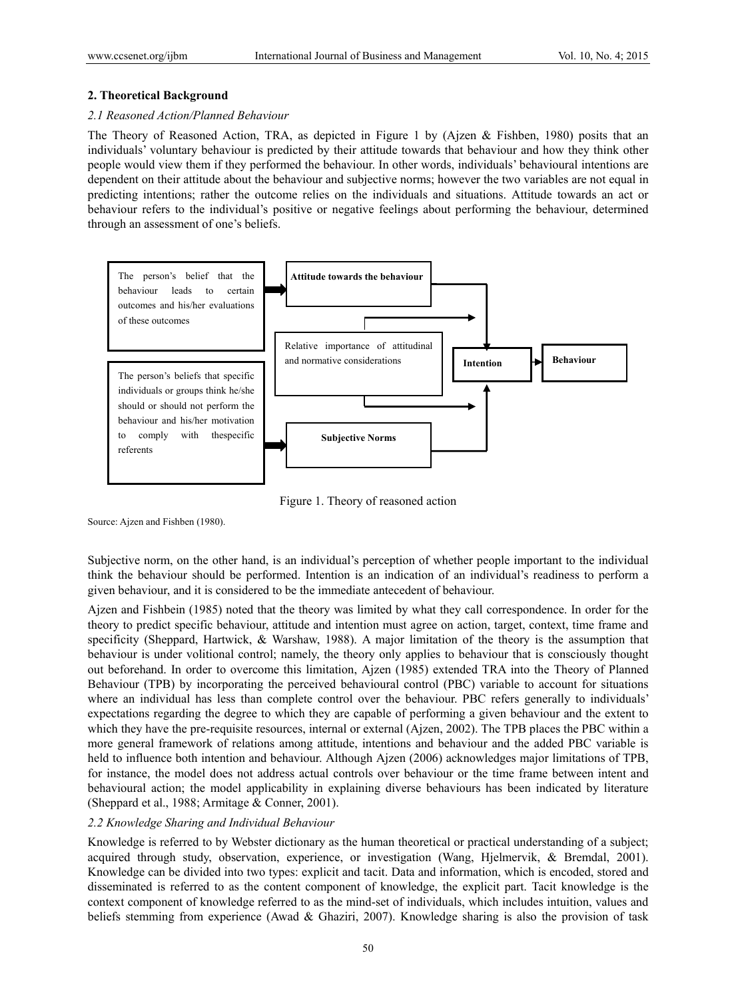#### **2. Theoretical Background**

#### *2.1 Reasoned Action/Planned Behaviour*

The Theory of Reasoned Action, TRA, as depicted in Figure 1 by (Ajzen & Fishben, 1980) posits that an individuals' voluntary behaviour is predicted by their attitude towards that behaviour and how they think other people would view them if they performed the behaviour. In other words, individuals' behavioural intentions are dependent on their attitude about the behaviour and subjective norms; however the two variables are not equal in predicting intentions; rather the outcome relies on the individuals and situations. Attitude towards an act or behaviour refers to the individual's positive or negative feelings about performing the behaviour, determined through an assessment of one's beliefs.



Figure 1. Theory of reasoned action

Source: Ajzen and Fishben (1980).

Subjective norm, on the other hand, is an individual's perception of whether people important to the individual think the behaviour should be performed. Intention is an indication of an individual's readiness to perform a given behaviour, and it is considered to be the immediate antecedent of behaviour.

Ajzen and Fishbein (1985) noted that the theory was limited by what they call correspondence. In order for the theory to predict specific behaviour, attitude and intention must agree on action, target, context, time frame and specificity (Sheppard, Hartwick, & Warshaw, 1988). A major limitation of the theory is the assumption that behaviour is under volitional control; namely, the theory only applies to behaviour that is consciously thought out beforehand. In order to overcome this limitation, Ajzen (1985) extended TRA into the Theory of Planned Behaviour (TPB) by incorporating the perceived behavioural control (PBC) variable to account for situations where an individual has less than complete control over the behaviour. PBC refers generally to individuals' expectations regarding the degree to which they are capable of performing a given behaviour and the extent to which they have the pre-requisite resources, internal or external (Ajzen, 2002). The TPB places the PBC within a more general framework of relations among attitude, intentions and behaviour and the added PBC variable is held to influence both intention and behaviour. Although Ajzen (2006) acknowledges major limitations of TPB, for instance, the model does not address actual controls over behaviour or the time frame between intent and behavioural action; the model applicability in explaining diverse behaviours has been indicated by literature (Sheppard et al., 1988; Armitage & Conner, 2001).

# *2.2 Knowledge Sharing and Individual Behaviour*

Knowledge is referred to by Webster dictionary as the human theoretical or practical understanding of a subject; acquired through study, observation, experience, or investigation (Wang, Hjelmervik, & Bremdal, 2001). Knowledge can be divided into two types: explicit and tacit. Data and information, which is encoded, stored and disseminated is referred to as the content component of knowledge, the explicit part. Tacit knowledge is the context component of knowledge referred to as the mind-set of individuals, which includes intuition, values and beliefs stemming from experience (Awad & Ghaziri, 2007). Knowledge sharing is also the provision of task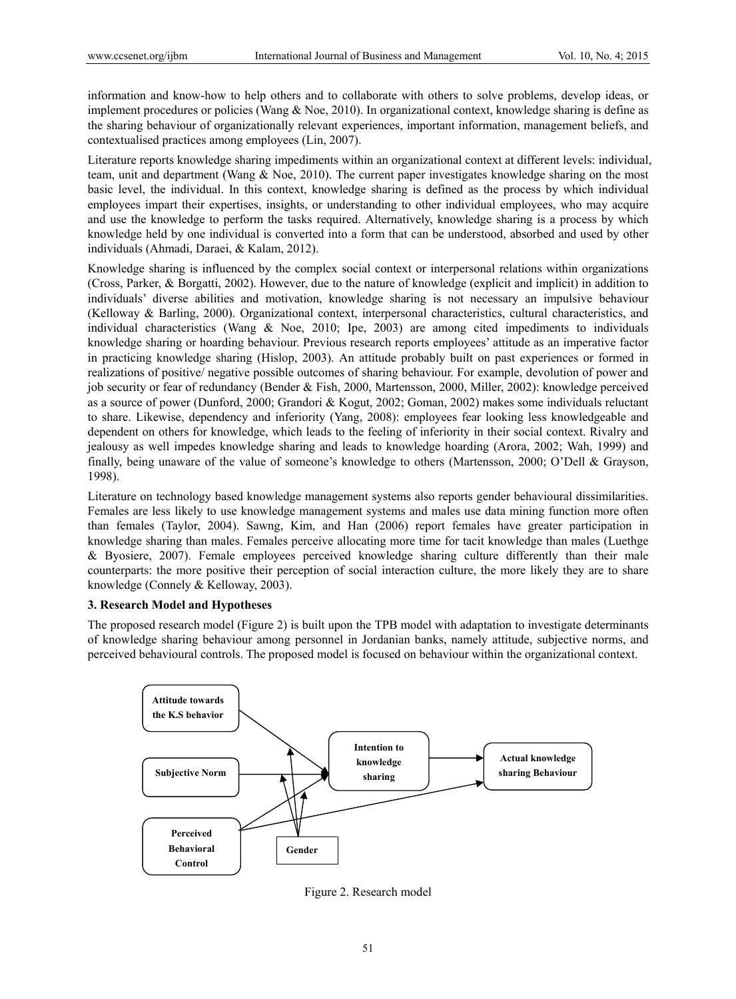information and know-how to help others and to collaborate with others to solve problems, develop ideas, or implement procedures or policies (Wang & Noe, 2010). In organizational context, knowledge sharing is define as the sharing behaviour of organizationally relevant experiences, important information, management beliefs, and contextualised practices among employees (Lin, 2007).

Literature reports knowledge sharing impediments within an organizational context at different levels: individual, team, unit and department (Wang & Noe, 2010). The current paper investigates knowledge sharing on the most basic level, the individual. In this context, knowledge sharing is defined as the process by which individual employees impart their expertises, insights, or understanding to other individual employees, who may acquire and use the knowledge to perform the tasks required. Alternatively, knowledge sharing is a process by which knowledge held by one individual is converted into a form that can be understood, absorbed and used by other individuals (Ahmadi, Daraei, & Kalam, 2012).

Knowledge sharing is influenced by the complex social context or interpersonal relations within organizations (Cross, Parker, & Borgatti, 2002). However, due to the nature of knowledge (explicit and implicit) in addition to individuals' diverse abilities and motivation, knowledge sharing is not necessary an impulsive behaviour (Kelloway & Barling, 2000). Organizational context, interpersonal characteristics, cultural characteristics, and individual characteristics (Wang & Noe, 2010; Ipe, 2003) are among cited impediments to individuals knowledge sharing or hoarding behaviour. Previous research reports employees' attitude as an imperative factor in practicing knowledge sharing (Hislop, 2003). An attitude probably built on past experiences or formed in realizations of positive/ negative possible outcomes of sharing behaviour. For example, devolution of power and job security or fear of redundancy (Bender & Fish, 2000, Martensson, 2000, Miller, 2002): knowledge perceived as a source of power (Dunford, 2000; Grandori & Kogut, 2002; Goman, 2002) makes some individuals reluctant to share. Likewise, dependency and inferiority (Yang, 2008): employees fear looking less knowledgeable and dependent on others for knowledge, which leads to the feeling of inferiority in their social context. Rivalry and jealousy as well impedes knowledge sharing and leads to knowledge hoarding (Arora, 2002; Wah, 1999) and finally, being unaware of the value of someone's knowledge to others (Martensson, 2000; O'Dell & Grayson, 1998).

Literature on technology based knowledge management systems also reports gender behavioural dissimilarities. Females are less likely to use knowledge management systems and males use data mining function more often than females (Taylor, 2004). Sawng, Kim, and Han (2006) report females have greater participation in knowledge sharing than males. Females perceive allocating more time for tacit knowledge than males (Luethge & Byosiere, 2007). Female employees perceived knowledge sharing culture differently than their male counterparts: the more positive their perception of social interaction culture, the more likely they are to share knowledge (Connely & Kelloway, 2003).

# **3. Research Model and Hypotheses**

The proposed research model (Figure 2) is built upon the TPB model with adaptation to investigate determinants of knowledge sharing behaviour among personnel in Jordanian banks, namely attitude, subjective norms, and perceived behavioural controls. The proposed model is focused on behaviour within the organizational context.



Figure 2. Research model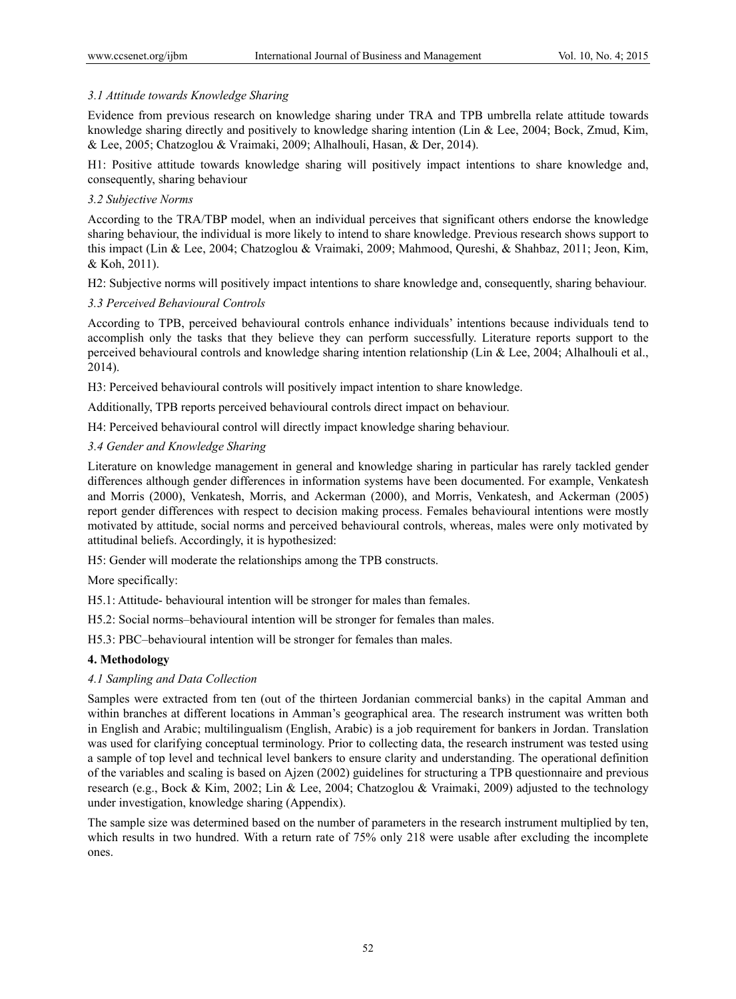#### *3.1 Attitude towards Knowledge Sharing*

Evidence from previous research on knowledge sharing under TRA and TPB umbrella relate attitude towards knowledge sharing directly and positively to knowledge sharing intention (Lin & Lee, 2004; Bock, Zmud, Kim, & Lee, 2005; Chatzoglou & Vraimaki, 2009; Alhalhouli, Hasan, & Der, 2014).

H1: Positive attitude towards knowledge sharing will positively impact intentions to share knowledge and, consequently, sharing behaviour

#### *3.2 Subjective Norms*

According to the TRA/TBP model, when an individual perceives that significant others endorse the knowledge sharing behaviour, the individual is more likely to intend to share knowledge. Previous research shows support to this impact (Lin & Lee, 2004; Chatzoglou & Vraimaki, 2009; Mahmood, Qureshi, & Shahbaz, 2011; Jeon, Kim, & Koh, 2011).

H2: Subjective norms will positively impact intentions to share knowledge and, consequently, sharing behaviour.

## *3.3 Perceived Behavioural Controls*

According to TPB, perceived behavioural controls enhance individuals' intentions because individuals tend to accomplish only the tasks that they believe they can perform successfully. Literature reports support to the perceived behavioural controls and knowledge sharing intention relationship (Lin & Lee, 2004; Alhalhouli et al., 2014).

H3: Perceived behavioural controls will positively impact intention to share knowledge.

Additionally, TPB reports perceived behavioural controls direct impact on behaviour.

H4: Perceived behavioural control will directly impact knowledge sharing behaviour.

#### *3.4 Gender and Knowledge Sharing*

Literature on knowledge management in general and knowledge sharing in particular has rarely tackled gender differences although gender differences in information systems have been documented. For example, Venkatesh and Morris (2000), Venkatesh, Morris, and Ackerman (2000), and Morris, Venkatesh, and Ackerman (2005) report gender differences with respect to decision making process. Females behavioural intentions were mostly motivated by attitude, social norms and perceived behavioural controls, whereas, males were only motivated by attitudinal beliefs. Accordingly, it is hypothesized:

H5: Gender will moderate the relationships among the TPB constructs.

More specifically:

H5.1: Attitude- behavioural intention will be stronger for males than females.

H5.2: Social norms–behavioural intention will be stronger for females than males.

H5.3: PBC–behavioural intention will be stronger for females than males.

#### **4. Methodology**

#### *4.1 Sampling and Data Collection*

Samples were extracted from ten (out of the thirteen Jordanian commercial banks) in the capital Amman and within branches at different locations in Amman's geographical area. The research instrument was written both in English and Arabic; multilingualism (English, Arabic) is a job requirement for bankers in Jordan. Translation was used for clarifying conceptual terminology. Prior to collecting data, the research instrument was tested using a sample of top level and technical level bankers to ensure clarity and understanding. The operational definition of the variables and scaling is based on Ajzen (2002) guidelines for structuring a TPB questionnaire and previous research (e.g., Bock & Kim, 2002; Lin & Lee, 2004; Chatzoglou & Vraimaki, 2009) adjusted to the technology under investigation, knowledge sharing (Appendix).

The sample size was determined based on the number of parameters in the research instrument multiplied by ten, which results in two hundred. With a return rate of 75% only 218 were usable after excluding the incomplete ones.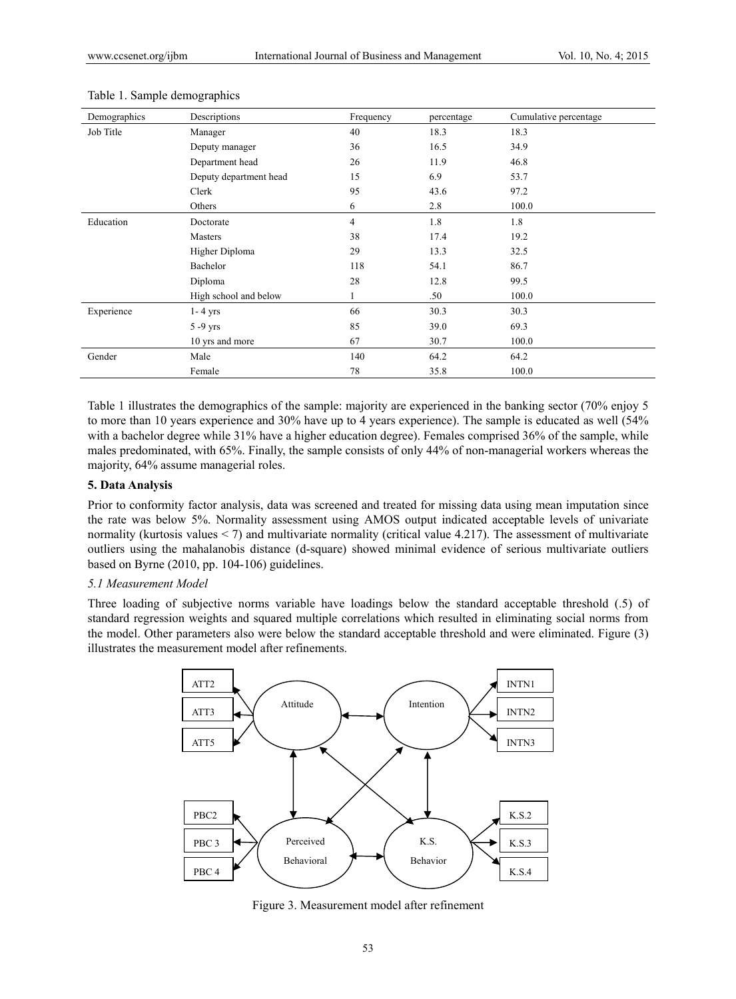| Demographics | Descriptions           | Frequency      | percentage | Cumulative percentage |
|--------------|------------------------|----------------|------------|-----------------------|
| Job Title    | Manager                | 40             | 18.3       | 18.3                  |
|              | Deputy manager         | 36             | 16.5       | 34.9                  |
|              | Department head        | 26             | 11.9       | 46.8                  |
|              | Deputy department head | 15             | 6.9        | 53.7                  |
|              | Clerk                  | 95             | 43.6       | 97.2                  |
|              | Others                 | 6              | 2.8        | 100.0                 |
| Education    | Doctorate              | $\overline{4}$ | 1.8        | 1.8                   |
|              | Masters                | 38             | 17.4       | 19.2                  |
|              | Higher Diploma         | 29             | 13.3       | 32.5                  |
|              | Bachelor               | 118            | 54.1       | 86.7                  |
|              | Diploma                | 28             | 12.8       | 99.5                  |
|              | High school and below  | 1              | .50        | 100.0                 |
| Experience   | $1 - 4$ yrs            | 66             | 30.3       | 30.3                  |
|              | $5-9$ yrs              | 85             | 39.0       | 69.3                  |
|              | 10 yrs and more        | 67             | 30.7       | 100.0                 |
| Gender       | Male                   | 140            | 64.2       | 64.2                  |
|              | Female                 | 78             | 35.8       | 100.0                 |

#### Table 1. Sample demographics

Table 1 illustrates the demographics of the sample: majority are experienced in the banking sector (70% enjoy 5 to more than 10 years experience and 30% have up to 4 years experience). The sample is educated as well (54% with a bachelor degree while 31% have a higher education degree). Females comprised 36% of the sample, while males predominated, with 65%. Finally, the sample consists of only 44% of non-managerial workers whereas the majority, 64% assume managerial roles.

## **5. Data Analysis**

Prior to conformity factor analysis, data was screened and treated for missing data using mean imputation since the rate was below 5%. Normality assessment using AMOS output indicated acceptable levels of univariate normality (kurtosis values < 7) and multivariate normality (critical value 4.217). The assessment of multivariate outliers using the mahalanobis distance (d-square) showed minimal evidence of serious multivariate outliers based on Byrne (2010, pp. 104-106) guidelines.

# *5.1 Measurement Model*

Three loading of subjective norms variable have loadings below the standard acceptable threshold (.5) of standard regression weights and squared multiple correlations which resulted in eliminating social norms from the model. Other parameters also were below the standard acceptable threshold and were eliminated. Figure (3) illustrates the measurement model after refinements.



Figure 3. Measurement model after refinement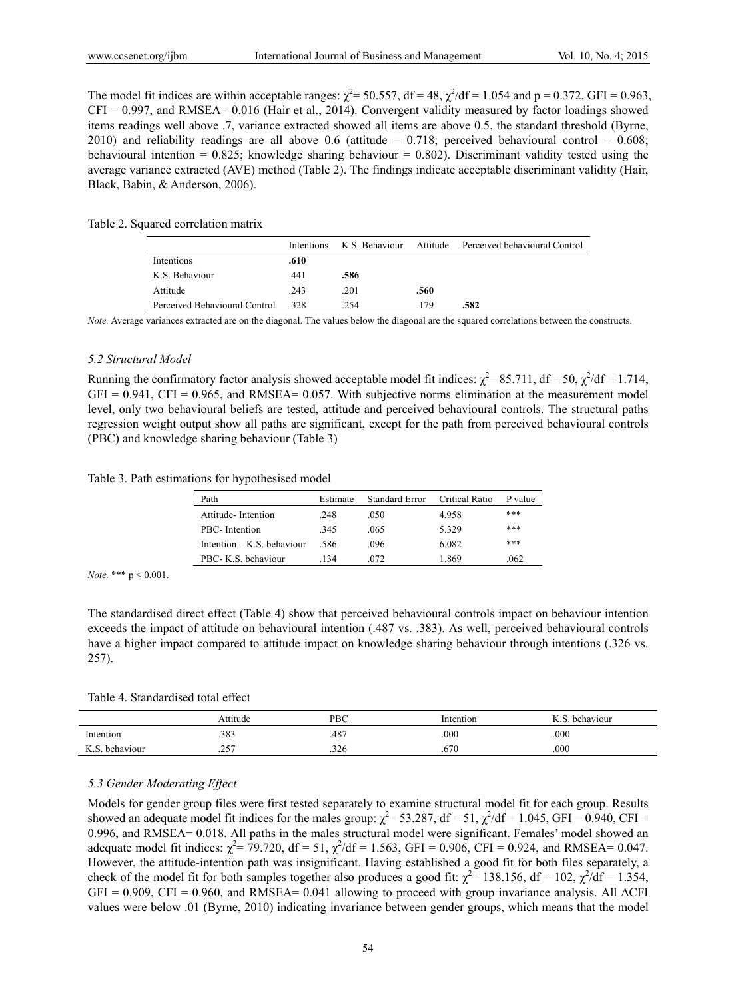The model fit indices are within acceptable ranges:  $\chi^2$  = 50.557, df = 48,  $\chi^2/df$  = 1.054 and p = 0.372, GFI = 0.963,  $CFI = 0.997$ , and RMSEA=  $0.016$  (Hair et al., 2014). Convergent validity measured by factor loadings showed items readings well above .7, variance extracted showed all items are above 0.5, the standard threshold (Byrne, 2010) and reliability readings are all above 0.6 (attitude = 0.718; perceived behavioural control =  $0.608$ ; behavioural intention =  $0.825$ ; knowledge sharing behaviour =  $0.802$ ). Discriminant validity tested using the average variance extracted (AVE) method (Table 2). The findings indicate acceptable discriminant validity (Hair, Black, Babin, & Anderson, 2006).

Table 2. Squared correlation matrix

|                               | Intentions | K.S. Behaviour | Attitude | Perceived behavioural Control |
|-------------------------------|------------|----------------|----------|-------------------------------|
| Intentions                    | .610       |                |          |                               |
| K.S. Behaviour                | .441       | .586           |          |                               |
| Attitude                      | .243       | .201           | .560     |                               |
| Perceived Behavioural Control | 328        | 254            | 179      | .582                          |

*Note.* Average variances extracted are on the diagonal. The values below the diagonal are the squared correlations between the constructs.

#### *5.2 Structural Model*

Running the confirmatory factor analysis showed acceptable model fit indices:  $\chi^2$  = 85.711, df = 50,  $\chi^2$ /df = 1.714,  $GFI = 0.941$ ,  $CFI = 0.965$ , and RMSEA= 0.057. With subjective norms elimination at the measurement model level, only two behavioural beliefs are tested, attitude and perceived behavioural controls. The structural paths regression weight output show all paths are significant, except for the path from perceived behavioural controls (PBC) and knowledge sharing behaviour (Table 3)

Table 3. Path estimations for hypothesised model

| Path                        | Estimate | Standard Error | Critical Ratio | P value |
|-----------------------------|----------|----------------|----------------|---------|
| Attitude-Intention          | .248     | .050           | 4.958          | ***     |
| PBC-Intention               | 345      | .065           | 5.329          | ***     |
| Intention $-K.S.$ behaviour | -586     | .096           | 6.082          | ***     |
| PBC- K.S. behaviour         | -134     | 072            | 1.869          | .062    |

*Note.* \*\*\* p < 0.001.

The standardised direct effect (Table 4) show that perceived behavioural controls impact on behaviour intention exceeds the impact of attitude on behavioural intention (.487 vs. .383). As well, perceived behavioural controls have a higher impact compared to attitude impact on knowledge sharing behaviour through intentions (.326 vs. 257).

#### Table 4. Standardised total effect

|                   | Attitude     | <b>PBC</b> | Intention | behaviour<br>n. |
|-------------------|--------------|------------|-----------|-----------------|
| Intention         | .383         | .487       | .000      | .000            |
| K.S.<br>behaviour | 257<br>ر ے . | .326       | .670      | .000            |

#### *5.3 Gender Moderating Effect*

Models for gender group files were first tested separately to examine structural model fit for each group. Results showed an adequate model fit indices for the males group:  $\chi^2$  = 53.287, df = 51,  $\chi^2$ /df = 1.045, GFI = 0.940, CFI = 0.996, and RMSEA= 0.018. All paths in the males structural model were significant. Females' model showed an adequate model fit indices:  $\chi^2 = 79.720$ , df = 51,  $\chi^2$ /df = 1.563, GFI = 0.906, CFI = 0.924, and RMSEA= 0.047. However, the attitude-intention path was insignificant. Having established a good fit for both files separately, a check of the model fit for both samples together also produces a good fit:  $\chi^2$  = 138.156, df = 102,  $\chi^2$ /df = 1.354,  $GFI = 0.909$ ,  $CFI = 0.960$ , and RMSEA= 0.041 allowing to proceed with group invariance analysis. All  $\Delta CFI$ values were below .01 (Byrne, 2010) indicating invariance between gender groups, which means that the model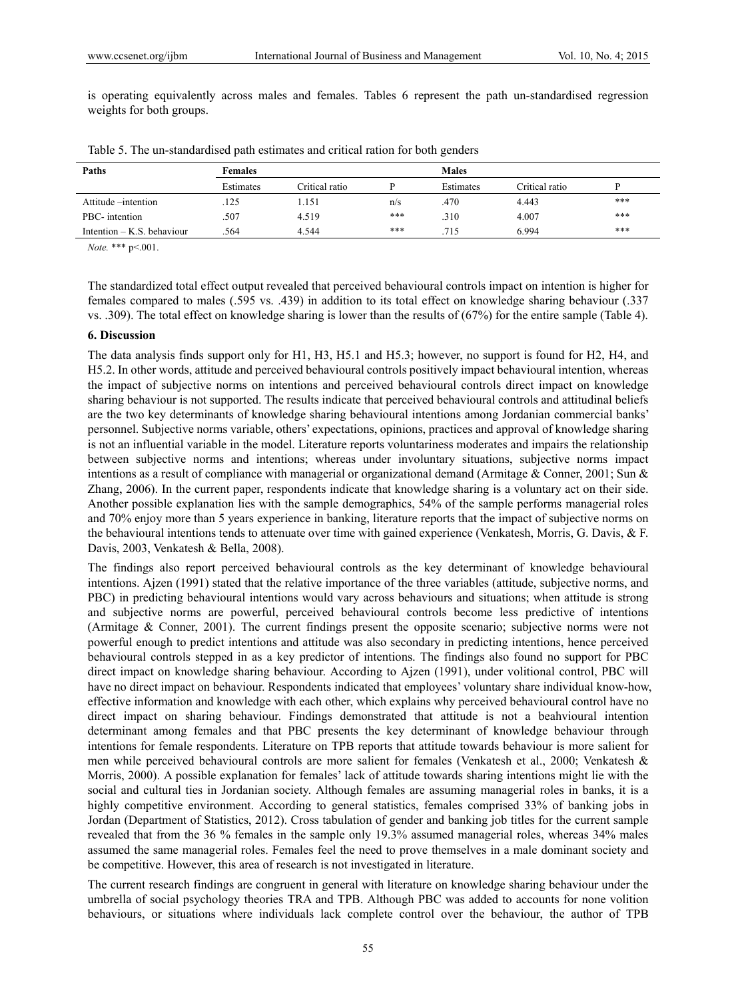is operating equivalently across males and females. Tables 6 represent the path un-standardised regression weights for both groups.

| Paths                        | <b>Females</b> |                |     |           | <b>Males</b>   |     |  |
|------------------------------|----------------|----------------|-----|-----------|----------------|-----|--|
|                              | Estimates      | Critical ratio |     | Estimates | Critical ratio |     |  |
| Attitude –intention          | .125           | .151           | n/s | .470      | 4.443          | *** |  |
| PBC-intention                | 507            | 4.519          | *** | .310      | 4.007          | *** |  |
| Intention $-$ K.S. behaviour | .564           | 4.544          | *** | .715      | 6.994          | *** |  |

Table 5. The un-standardised path estimates and critical ration for both genders

*Note.* \*\*\* p<.001.

The standardized total effect output revealed that perceived behavioural controls impact on intention is higher for females compared to males (.595 vs. .439) in addition to its total effect on knowledge sharing behaviour (.337 vs. .309). The total effect on knowledge sharing is lower than the results of (67%) for the entire sample (Table 4).

# **6. Discussion**

The data analysis finds support only for H1, H3, H5.1 and H5.3; however, no support is found for H2, H4, and H5.2. In other words, attitude and perceived behavioural controls positively impact behavioural intention, whereas the impact of subjective norms on intentions and perceived behavioural controls direct impact on knowledge sharing behaviour is not supported. The results indicate that perceived behavioural controls and attitudinal beliefs are the two key determinants of knowledge sharing behavioural intentions among Jordanian commercial banks' personnel. Subjective norms variable, others' expectations, opinions, practices and approval of knowledge sharing is not an influential variable in the model. Literature reports voluntariness moderates and impairs the relationship between subjective norms and intentions; whereas under involuntary situations, subjective norms impact intentions as a result of compliance with managerial or organizational demand (Armitage & Conner, 2001; Sun & Zhang, 2006). In the current paper, respondents indicate that knowledge sharing is a voluntary act on their side. Another possible explanation lies with the sample demographics, 54% of the sample performs managerial roles and 70% enjoy more than 5 years experience in banking, literature reports that the impact of subjective norms on the behavioural intentions tends to attenuate over time with gained experience (Venkatesh, Morris, G. Davis, & F. Davis, 2003, Venkatesh & Bella, 2008).

The findings also report perceived behavioural controls as the key determinant of knowledge behavioural intentions. Ajzen (1991) stated that the relative importance of the three variables (attitude, subjective norms, and PBC) in predicting behavioural intentions would vary across behaviours and situations; when attitude is strong and subjective norms are powerful, perceived behavioural controls become less predictive of intentions (Armitage & Conner, 2001). The current findings present the opposite scenario; subjective norms were not powerful enough to predict intentions and attitude was also secondary in predicting intentions, hence perceived behavioural controls stepped in as a key predictor of intentions. The findings also found no support for PBC direct impact on knowledge sharing behaviour. According to Ajzen (1991), under volitional control, PBC will have no direct impact on behaviour. Respondents indicated that employees' voluntary share individual know-how, effective information and knowledge with each other, which explains why perceived behavioural control have no direct impact on sharing behaviour. Findings demonstrated that attitude is not a beahvioural intention determinant among females and that PBC presents the key determinant of knowledge behaviour through intentions for female respondents. Literature on TPB reports that attitude towards behaviour is more salient for men while perceived behavioural controls are more salient for females (Venkatesh et al., 2000; Venkatesh & Morris, 2000). A possible explanation for females' lack of attitude towards sharing intentions might lie with the social and cultural ties in Jordanian society. Although females are assuming managerial roles in banks, it is a highly competitive environment. According to general statistics, females comprised 33% of banking jobs in Jordan (Department of Statistics, 2012). Cross tabulation of gender and banking job titles for the current sample revealed that from the 36 % females in the sample only 19.3% assumed managerial roles, whereas 34% males assumed the same managerial roles. Females feel the need to prove themselves in a male dominant society and be competitive. However, this area of research is not investigated in literature.

The current research findings are congruent in general with literature on knowledge sharing behaviour under the umbrella of social psychology theories TRA and TPB. Although PBC was added to accounts for none volition behaviours, or situations where individuals lack complete control over the behaviour, the author of TPB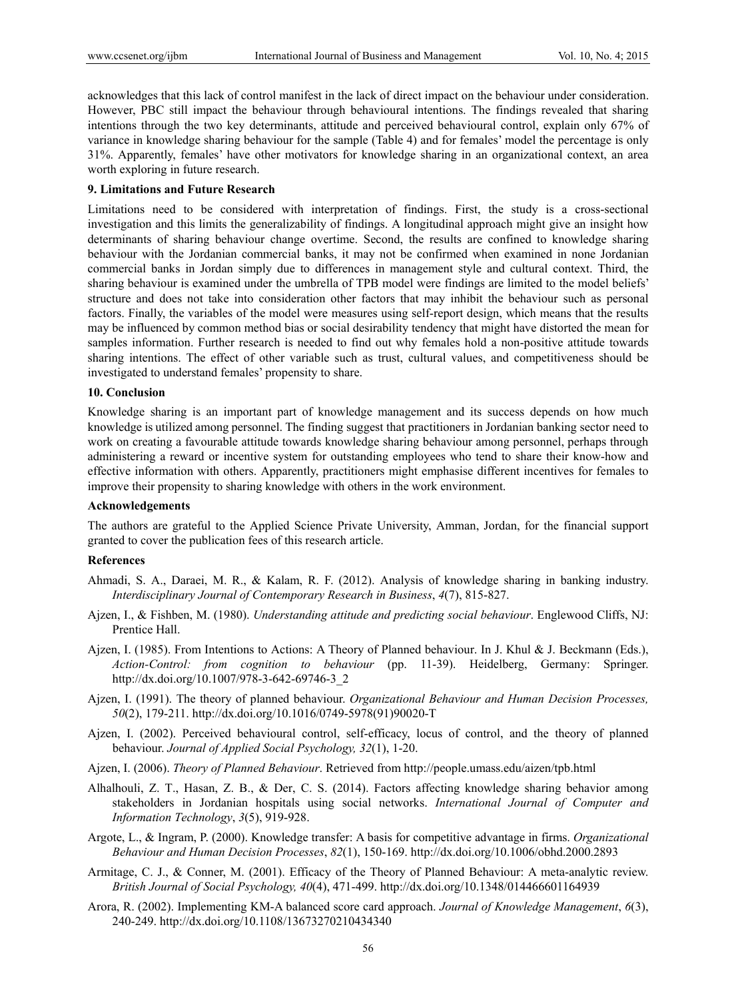acknowledges that this lack of control manifest in the lack of direct impact on the behaviour under consideration. However, PBC still impact the behaviour through behavioural intentions. The findings revealed that sharing intentions through the two key determinants, attitude and perceived behavioural control, explain only 67% of variance in knowledge sharing behaviour for the sample (Table 4) and for females' model the percentage is only 31%. Apparently, females' have other motivators for knowledge sharing in an organizational context, an area worth exploring in future research.

#### **9. Limitations and Future Research**

Limitations need to be considered with interpretation of findings. First, the study is a cross-sectional investigation and this limits the generalizability of findings. A longitudinal approach might give an insight how determinants of sharing behaviour change overtime. Second, the results are confined to knowledge sharing behaviour with the Jordanian commercial banks, it may not be confirmed when examined in none Jordanian commercial banks in Jordan simply due to differences in management style and cultural context. Third, the sharing behaviour is examined under the umbrella of TPB model were findings are limited to the model beliefs' structure and does not take into consideration other factors that may inhibit the behaviour such as personal factors. Finally, the variables of the model were measures using self-report design, which means that the results may be influenced by common method bias or social desirability tendency that might have distorted the mean for samples information. Further research is needed to find out why females hold a non-positive attitude towards sharing intentions. The effect of other variable such as trust, cultural values, and competitiveness should be investigated to understand females' propensity to share.

## **10. Conclusion**

Knowledge sharing is an important part of knowledge management and its success depends on how much knowledge is utilized among personnel. The finding suggest that practitioners in Jordanian banking sector need to work on creating a favourable attitude towards knowledge sharing behaviour among personnel, perhaps through administering a reward or incentive system for outstanding employees who tend to share their know-how and effective information with others. Apparently, practitioners might emphasise different incentives for females to improve their propensity to sharing knowledge with others in the work environment.

#### **Acknowledgements**

The authors are grateful to the Applied Science Private University, Amman, Jordan, for the financial support granted to cover the publication fees of this research article.

#### **References**

- Ahmadi, S. A., Daraei, M. R., & Kalam, R. F. (2012). Analysis of knowledge sharing in banking industry. *Interdisciplinary Journal of Contemporary Research in Business*, *4*(7), 815-827.
- Ajzen, I., & Fishben, M. (1980). *Understanding attitude and predicting social behaviour*. Englewood Cliffs, NJ: Prentice Hall.
- Ajzen, I. (1985). From Intentions to Actions: A Theory of Planned behaviour. In J. Khul & J. Beckmann (Eds.), *Action-Control: from cognition to behaviour* (pp. 11-39). Heidelberg, Germany: Springer. http://dx.doi.org/10.1007/978-3-642-69746-3\_2
- Ajzen, I. (1991). The theory of planned behaviour. *Organizational Behaviour and Human Decision Processes, 50*(2), 179-211. http://dx.doi.org/10.1016/0749-5978(91)90020-T
- Ajzen, I. (2002). Perceived behavioural control, self-efficacy, locus of control, and the theory of planned behaviour. *Journal of Applied Social Psychology, 32*(1), 1-20.
- Ajzen, I. (2006). *Theory of Planned Behaviour*. Retrieved from http://people.umass.edu/aizen/tpb.html
- Alhalhouli, Z. T., Hasan, Z. B., & Der, C. S. (2014). Factors affecting knowledge sharing behavior among stakeholders in Jordanian hospitals using social networks. *International Journal of Computer and Information Technology*, *3*(5), 919-928.
- Argote, L., & Ingram, P. (2000). Knowledge transfer: A basis for competitive advantage in firms. *Organizational Behaviour and Human Decision Processes*, *82*(1), 150-169. http://dx.doi.org/10.1006/obhd.2000.2893
- Armitage, C. J., & Conner, M. (2001). Efficacy of the Theory of Planned Behaviour: A meta-analytic review. *British Journal of Social Psychology, 40*(4), 471-499. http://dx.doi.org/10.1348/014466601164939
- Arora, R. (2002). Implementing KM-A balanced score card approach. *Journal of Knowledge Management*, *6*(3), 240-249. http://dx.doi.org/10.1108/13673270210434340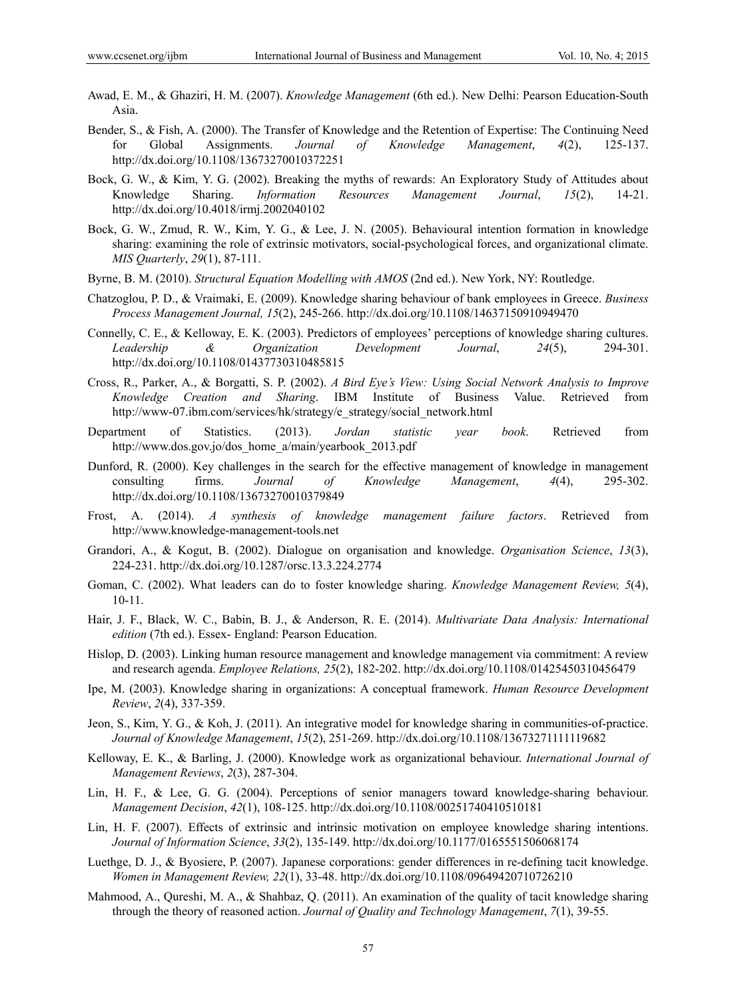- Awad, E. M., & Ghaziri, H. M. (2007). *Knowledge Management* (6th ed.). New Delhi: Pearson Education-South Asia.
- Bender, S., & Fish, A. (2000). The Transfer of Knowledge and the Retention of Expertise: The Continuing Need for Global Assignments. *Journal of Knowledge Management*, *4*(2), 125-137. http://dx.doi.org/10.1108/13673270010372251
- Bock, G. W., & Kim, Y. G. (2002). Breaking the myths of rewards: An Exploratory Study of Attitudes about Knowledge Sharing. *Information Resources Management Journal*, *15*(2), 14-21. http://dx.doi.org/10.4018/irmj.2002040102
- Bock, G. W., Zmud, R. W., Kim, Y. G., & Lee, J. N. (2005). Behavioural intention formation in knowledge sharing: examining the role of extrinsic motivators, social-psychological forces, and organizational climate. *MIS Quarterly*, *29*(1), 87-111.
- Byrne, B. M. (2010). *Structural Equation Modelling with AMOS* (2nd ed.). New York, NY: Routledge.
- Chatzoglou, P. D., & Vraimaki, E. (2009). Knowledge sharing behaviour of bank employees in Greece. *Business Process Management Journal, 15*(2), 245-266. http://dx.doi.org/10.1108/14637150910949470
- Connelly, C. E., & Kelloway, E. K. (2003). Predictors of employees' perceptions of knowledge sharing cultures. *Leadership & Organization Development Journal*, *24*(5), 294-301. http://dx.doi.org/10.1108/01437730310485815
- Cross, R., Parker, A., & Borgatti, S. P. (2002). *A Bird Eye's View: Using Social Network Analysis to Improve Knowledge Creation and Sharing*. IBM Institute of Business Value. Retrieved from http://www-07.ibm.com/services/hk/strategy/e\_strategy/social\_network.html
- Department of Statistics. (2013). *Jordan statistic year book*. Retrieved from http://www.dos.gov.jo/dos\_home\_a/main/yearbook\_2013.pdf
- Dunford, R. (2000). Key challenges in the search for the effective management of knowledge in management consulting firms. *Journal of Knowledge Management*, *4*(4), 295-302. http://dx.doi.org/10.1108/13673270010379849
- Frost, A. (2014). *A synthesis of knowledge management failure factors*. Retrieved from http://www.knowledge-management-tools.net
- Grandori, A., & Kogut, B. (2002). Dialogue on organisation and knowledge. *Organisation Science*, *13*(3), 224-231. http://dx.doi.org/10.1287/orsc.13.3.224.2774
- Goman, C. (2002). What leaders can do to foster knowledge sharing. *Knowledge Management Review, 5*(4), 10-11.
- Hair, J. F., Black, W. C., Babin, B. J., & Anderson, R. E. (2014). *Multivariate Data Analysis: International edition* (7th ed.). Essex- England: Pearson Education.
- Hislop, D. (2003). Linking human resource management and knowledge management via commitment: A review and research agenda. *Employee Relations, 25*(2), 182-202. http://dx.doi.org/10.1108/01425450310456479
- Ipe, M. (2003). Knowledge sharing in organizations: A conceptual framework. *Human Resource Development Review*, *2*(4), 337-359.
- Jeon, S., Kim, Y. G., & Koh, J. (2011). An integrative model for knowledge sharing in communities-of-practice. *Journal of Knowledge Management*, *15*(2), 251-269. http://dx.doi.org/10.1108/13673271111119682
- Kelloway, E. K., & Barling, J. (2000). Knowledge work as organizational behaviour. *International Journal of Management Reviews*, *2*(3), 287-304.
- Lin, H. F., & Lee, G. G. (2004). Perceptions of senior managers toward knowledge-sharing behaviour. *Management Decision*, *42*(1), 108-125. http://dx.doi.org/10.1108/00251740410510181
- Lin, H. F. (2007). Effects of extrinsic and intrinsic motivation on employee knowledge sharing intentions. *Journal of Information Science*, *33*(2), 135-149. http://dx.doi.org/10.1177/0165551506068174
- Luethge, D. J., & Byosiere, P. (2007). Japanese corporations: gender differences in re-defining tacit knowledge. *Women in Management Review, 22*(1), 33-48. http://dx.doi.org/10.1108/09649420710726210
- Mahmood, A., Qureshi, M. A., & Shahbaz, Q. (2011). An examination of the quality of tacit knowledge sharing through the theory of reasoned action. *Journal of Quality and Technology Management*, *7*(1), 39-55.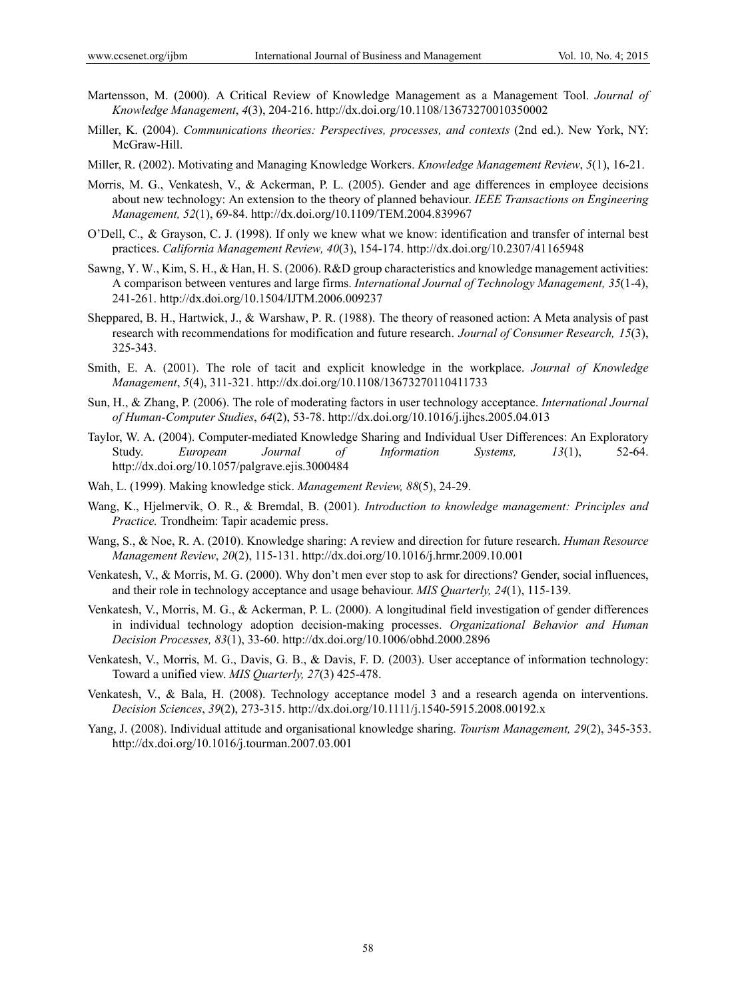- Martensson, M. (2000). A Critical Review of Knowledge Management as a Management Tool. *Journal of Knowledge Management*, *4*(3), 204-216. http://dx.doi.org/10.1108/13673270010350002
- Miller, K. (2004). *Communications theories: Perspectives, processes, and contexts* (2nd ed.). New York, NY: McGraw-Hill.
- Miller, R. (2002). Motivating and Managing Knowledge Workers. *Knowledge Management Review*, *5*(1), 16-21.
- Morris, M. G., Venkatesh, V., & Ackerman, P. L. (2005). Gender and age differences in employee decisions about new technology: An extension to the theory of planned behaviour. *IEEE Transactions on Engineering Management, 52*(1), 69-84. http://dx.doi.org**/**10.1109/TEM.2004.839967
- O'Dell, C., & Grayson, C. J. (1998). If only we knew what we know: identification and transfer of internal best practices. *California Management Review, 40*(3), 154-174. http://dx.doi.org/10.2307/41165948
- Sawng, Y. W., Kim, S. H., & Han, H. S. (2006). R&D group characteristics and knowledge management activities: A comparison between ventures and large firms. *International Journal of Technology Management, 35*(1-4), 241-261. http://dx.doi.org/10.1504/IJTM.2006.009237
- Sheppared, B. H., Hartwick, J., & Warshaw, P. R. (1988). The theory of reasoned action: A Meta analysis of past research with recommendations for modification and future research. *Journal of Consumer Research, 15*(3), 325-343.
- Smith, E. A. (2001). The role of tacit and explicit knowledge in the workplace. *Journal of Knowledge Management*, *5*(4), 311-321. http://dx.doi.org/10.1108/13673270110411733
- Sun, H., & Zhang, P. (2006). The role of moderating factors in user technology acceptance. *International Journal of Human-Computer Studies*, *64*(2), 53-78. http://dx.doi.org/10.1016/j.ijhcs.2005.04.013
- Taylor, W. A. (2004). Computer-mediated Knowledge Sharing and Individual User Differences: An Exploratory Study. *European Journal of Information Systems, 13*(1), 52-64. http://dx.doi.org/10.1057/palgrave.ejis.3000484
- Wah, L. (1999). Making knowledge stick. *Management Review, 88*(5), 24-29.
- Wang, K., Hjelmervik, O. R., & Bremdal, B. (2001). *Introduction to knowledge management: Principles and Practice.* Trondheim: Tapir academic press.
- Wang, S., & Noe, R. A. (2010). Knowledge sharing: A review and direction for future research. *Human Resource Management Review*, *20*(2), 115-131. http://dx.doi.org/10.1016/j.hrmr.2009.10.001
- Venkatesh, V., & Morris, M. G. (2000). Why don't men ever stop to ask for directions? Gender, social influences, and their role in technology acceptance and usage behaviour. *MIS Quarterly, 24*(1), 115-139.
- Venkatesh, V., Morris, M. G., & Ackerman, P. L. (2000). A longitudinal field investigation of gender differences in individual technology adoption decision-making processes. *Organizational Behavior and Human Decision Processes, 83*(1), 33-60. http://dx.doi.org/10.1006/obhd.2000.2896
- Venkatesh, V., Morris, M. G., Davis, G. B., & Davis, F. D. (2003). User acceptance of information technology: Toward a unified view. *MIS Quarterly, 27*(3) 425-478.
- Venkatesh, V., & Bala, H. (2008). Technology acceptance model 3 and a research agenda on interventions. *Decision Sciences*, *39*(2), 273-315. http://dx.doi.org/10.1111/j.1540-5915.2008.00192.x
- Yang, J. (2008). Individual attitude and organisational knowledge sharing. *Tourism Management, 29*(2), 345-353. http://dx.doi.org/10.1016/j.tourman.2007.03.001